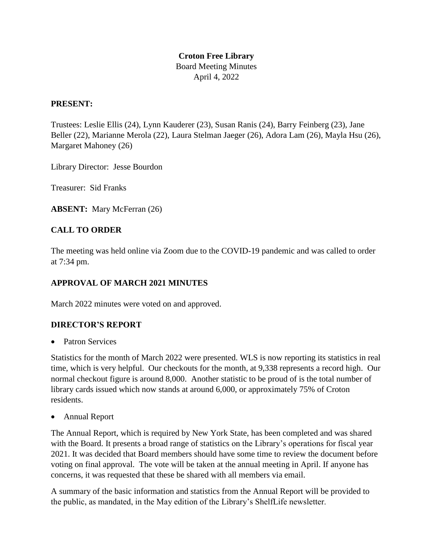# **Croton Free Library**

Board Meeting Minutes April 4, 2022

### **PRESENT:**

Trustees: Leslie Ellis (24), Lynn Kauderer (23), Susan Ranis (24), Barry Feinberg (23), Jane Beller (22), Marianne Merola (22), Laura Stelman Jaeger (26), Adora Lam (26), Mayla Hsu (26), Margaret Mahoney (26)

Library Director: Jesse Bourdon

Treasurer: Sid Franks

**ABSENT:** Mary McFerran (26)

# **CALL TO ORDER**

The meeting was held online via Zoom due to the COVID-19 pandemic and was called to order at 7:34 pm.

## **APPROVAL OF MARCH 2021 MINUTES**

March 2022 minutes were voted on and approved.

#### **DIRECTOR'S REPORT**

Patron Services

Statistics for the month of March 2022 were presented. WLS is now reporting its statistics in real time, which is very helpful. Our checkouts for the month, at 9,338 represents a record high. Our normal checkout figure is around 8,000. Another statistic to be proud of is the total number of library cards issued which now stands at around 6,000, or approximately 75% of Croton residents.

Annual Report

The Annual Report, which is required by New York State, has been completed and was shared with the Board. It presents a broad range of statistics on the Library's operations for fiscal year 2021. It was decided that Board members should have some time to review the document before voting on final approval. The vote will be taken at the annual meeting in April. If anyone has concerns, it was requested that these be shared with all members via email.

A summary of the basic information and statistics from the Annual Report will be provided to the public, as mandated, in the May edition of the Library's ShelfLife newsletter.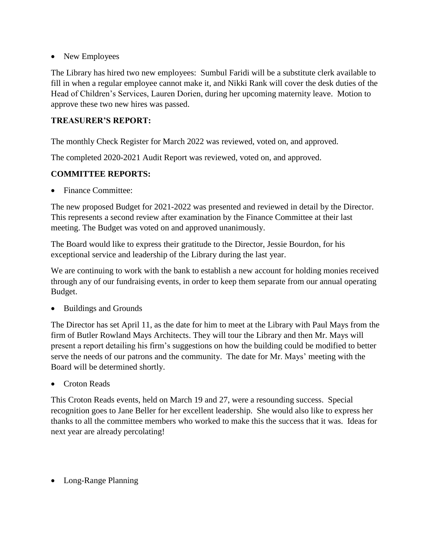• New Employees

The Library has hired two new employees: Sumbul Faridi will be a substitute clerk available to fill in when a regular employee cannot make it, and Nikki Rank will cover the desk duties of the Head of Children's Services, Lauren Dorien, during her upcoming maternity leave. Motion to approve these two new hires was passed.

### **TREASURER'S REPORT:**

The monthly Check Register for March 2022 was reviewed, voted on, and approved.

The completed 2020-2021 Audit Report was reviewed, voted on, and approved.

## **COMMITTEE REPORTS:**

• Finance Committee:

The new proposed Budget for 2021-2022 was presented and reviewed in detail by the Director. This represents a second review after examination by the Finance Committee at their last meeting. The Budget was voted on and approved unanimously.

The Board would like to express their gratitude to the Director, Jessie Bourdon, for his exceptional service and leadership of the Library during the last year.

We are continuing to work with the bank to establish a new account for holding monies received through any of our fundraising events, in order to keep them separate from our annual operating Budget.

• Buildings and Grounds

The Director has set April 11, as the date for him to meet at the Library with Paul Mays from the firm of Butler Rowland Mays Architects. They will tour the Library and then Mr. Mays will present a report detailing his firm's suggestions on how the building could be modified to better serve the needs of our patrons and the community. The date for Mr. Mays' meeting with the Board will be determined shortly.

• Croton Reads

This Croton Reads events, held on March 19 and 27, were a resounding success. Special recognition goes to Jane Beller for her excellent leadership. She would also like to express her thanks to all the committee members who worked to make this the success that it was. Ideas for next year are already percolating!

Long-Range Planning